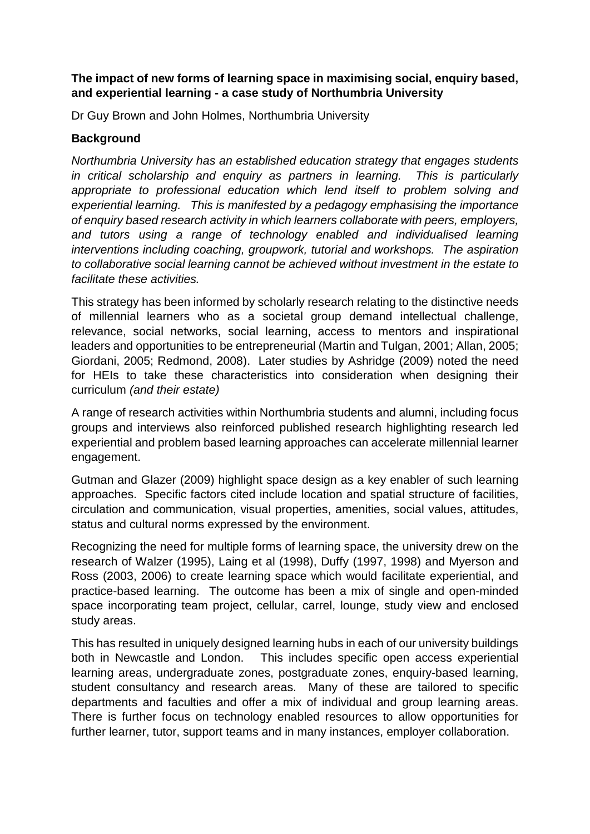#### **The impact of new forms of learning space in maximising social, enquiry based, and experiential learning - a case study of Northumbria University**

Dr Guy Brown and John Holmes, Northumbria University

#### **Background**

*Northumbria University has an established education strategy that engages students in critical scholarship and enquiry as partners in learning. This is particularly appropriate to professional education which lend itself to problem solving and experiential learning. This is manifested by a pedagogy emphasising the importance of enquiry based research activity in which learners collaborate with peers, employers, and tutors using a range of technology enabled and individualised learning interventions including coaching, groupwork, tutorial and workshops. The aspiration to collaborative social learning cannot be achieved without investment in the estate to facilitate these activities.* 

This strategy has been informed by scholarly research relating to the distinctive needs of millennial learners who as a societal group demand intellectual challenge, relevance, social networks, social learning, access to mentors and inspirational leaders and opportunities to be entrepreneurial (Martin and Tulgan, 2001; Allan, 2005; Giordani, 2005; Redmond, 2008). Later studies by Ashridge (2009) noted the need for HEIs to take these characteristics into consideration when designing their curriculum *(and their estate)*

A range of research activities within Northumbria students and alumni, including focus groups and interviews also reinforced published research highlighting research led experiential and problem based learning approaches can accelerate millennial learner engagement.

Gutman and Glazer (2009) highlight space design as a key enabler of such learning approaches. Specific factors cited include location and spatial structure of facilities, circulation and communication, visual properties, amenities, social values, attitudes, status and cultural norms expressed by the environment.

Recognizing the need for multiple forms of learning space, the university drew on the research of Walzer (1995), Laing et al (1998), Duffy (1997, 1998) and Myerson and Ross (2003, 2006) to create learning space which would facilitate experiential, and practice-based learning. The outcome has been a mix of single and open-minded space incorporating team project, cellular, carrel, lounge, study view and enclosed study areas.

This has resulted in uniquely designed learning hubs in each of our university buildings both in Newcastle and London. This includes specific open access experiential learning areas, undergraduate zones, postgraduate zones, enquiry-based learning, student consultancy and research areas. Many of these are tailored to specific departments and faculties and offer a mix of individual and group learning areas. There is further focus on technology enabled resources to allow opportunities for further learner, tutor, support teams and in many instances, employer collaboration.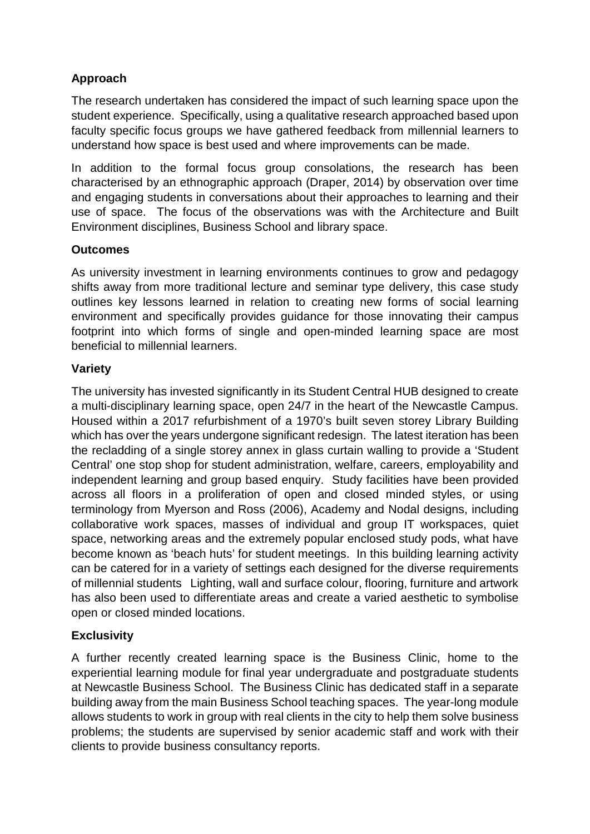# **Approach**

The research undertaken has considered the impact of such learning space upon the student experience. Specifically, using a qualitative research approached based upon faculty specific focus groups we have gathered feedback from millennial learners to understand how space is best used and where improvements can be made.

In addition to the formal focus group consolations, the research has been characterised by an ethnographic approach (Draper, 2014) by observation over time and engaging students in conversations about their approaches to learning and their use of space. The focus of the observations was with the Architecture and Built Environment disciplines, Business School and library space.

## **Outcomes**

As university investment in learning environments continues to grow and pedagogy shifts away from more traditional lecture and seminar type delivery, this case study outlines key lessons learned in relation to creating new forms of social learning environment and specifically provides guidance for those innovating their campus footprint into which forms of single and open-minded learning space are most beneficial to millennial learners.

### **Variety**

The university has invested significantly in its Student Central HUB designed to create a multi-disciplinary learning space, open 24/7 in the heart of the Newcastle Campus. Housed within a 2017 refurbishment of a 1970's built seven storey Library Building which has over the years undergone significant redesign. The latest iteration has been the recladding of a single storey annex in glass curtain walling to provide a 'Student Central' one stop shop for student administration, welfare, careers, employability and independent learning and group based enquiry. Study facilities have been provided across all floors in a proliferation of open and closed minded styles, or using terminology from Myerson and Ross (2006), Academy and Nodal designs, including collaborative work spaces, masses of individual and group IT workspaces, quiet space, networking areas and the extremely popular enclosed study pods, what have become known as 'beach huts' for student meetings. In this building learning activity can be catered for in a variety of settings each designed for the diverse requirements of millennial students Lighting, wall and surface colour, flooring, furniture and artwork has also been used to differentiate areas and create a varied aesthetic to symbolise open or closed minded locations.

### **Exclusivity**

A further recently created learning space is the Business Clinic, home to the experiential learning module for final year undergraduate and postgraduate students at Newcastle Business School. The Business Clinic has dedicated staff in a separate building away from the main Business School teaching spaces. The year-long module allows students to work in group with real clients in the city to help them solve business problems; the students are supervised by senior academic staff and work with their clients to provide business consultancy reports.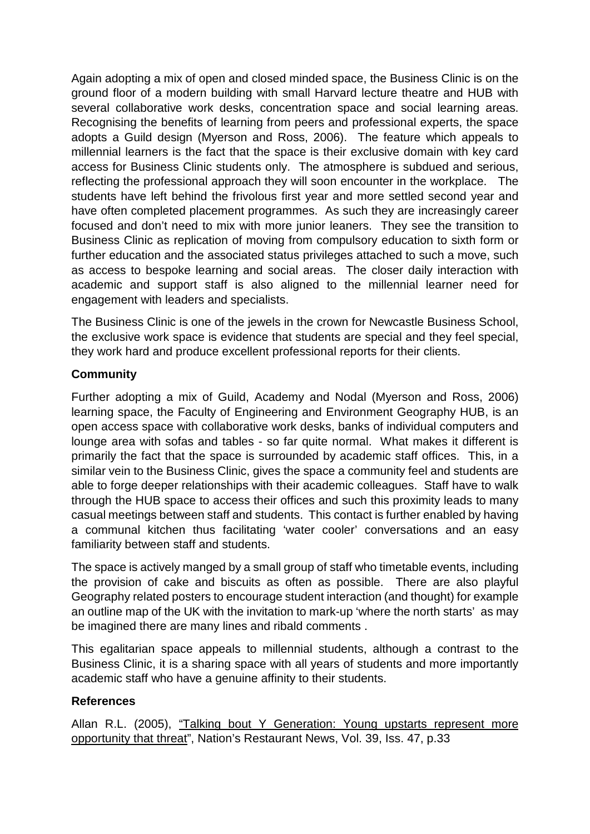Again adopting a mix of open and closed minded space, the Business Clinic is on the ground floor of a modern building with small Harvard lecture theatre and HUB with several collaborative work desks, concentration space and social learning areas. Recognising the benefits of learning from peers and professional experts, the space adopts a Guild design (Myerson and Ross, 2006). The feature which appeals to millennial learners is the fact that the space is their exclusive domain with key card access for Business Clinic students only. The atmosphere is subdued and serious, reflecting the professional approach they will soon encounter in the workplace. The students have left behind the frivolous first year and more settled second year and have often completed placement programmes. As such they are increasingly career focused and don't need to mix with more junior leaners. They see the transition to Business Clinic as replication of moving from compulsory education to sixth form or further education and the associated status privileges attached to such a move, such as access to bespoke learning and social areas. The closer daily interaction with academic and support staff is also aligned to the millennial learner need for engagement with leaders and specialists.

The Business Clinic is one of the jewels in the crown for Newcastle Business School, the exclusive work space is evidence that students are special and they feel special, they work hard and produce excellent professional reports for their clients.

### **Community**

Further adopting a mix of Guild, Academy and Nodal (Myerson and Ross, 2006) learning space, the Faculty of Engineering and Environment Geography HUB, is an open access space with collaborative work desks, banks of individual computers and lounge area with sofas and tables - so far quite normal. What makes it different is primarily the fact that the space is surrounded by academic staff offices. This, in a similar vein to the Business Clinic, gives the space a community feel and students are able to forge deeper relationships with their academic colleagues. Staff have to walk through the HUB space to access their offices and such this proximity leads to many casual meetings between staff and students. This contact is further enabled by having a communal kitchen thus facilitating 'water cooler' conversations and an easy familiarity between staff and students.

The space is actively manged by a small group of staff who timetable events, including the provision of cake and biscuits as often as possible. There are also playful Geography related posters to encourage student interaction (and thought) for example an outline map of the UK with the invitation to mark-up 'where the north starts' as may be imagined there are many lines and ribald comments .

This egalitarian space appeals to millennial students, although a contrast to the Business Clinic, it is a sharing space with all years of students and more importantly academic staff who have a genuine affinity to their students.

### **References**

Allan R.L. (2005), "Talking bout Y Generation: Young upstarts represent more opportunity that threat", Nation's Restaurant News, Vol. 39, Iss. 47, p.33